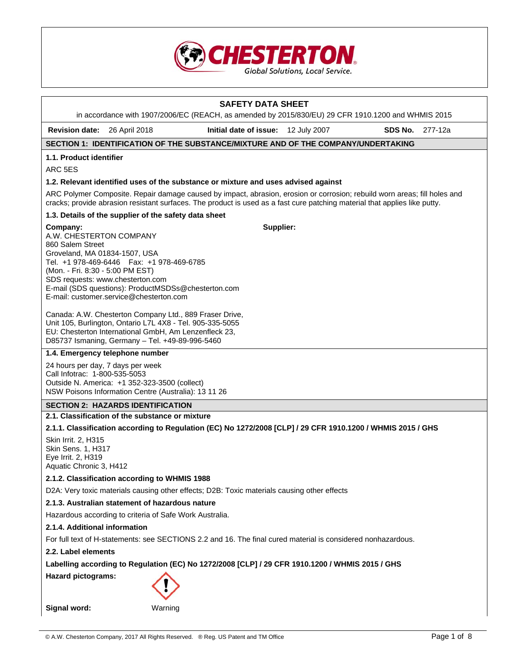

# **SAFETY DATA SHEET**  in accordance with 1907/2006/EC (REACH, as amended by 2015/830/EU) 29 CFR 1910.1200 and WHMIS 2015 **Revision date:** 26 April 2018 **Initial date of issue:** 12 July 2007 **SDS No.** 277-12a **SECTION 1: IDENTIFICATION OF THE SUBSTANCE/MIXTURE AND OF THE COMPANY/UNDERTAKING 1.1. Product identifier**  ARC 5ES **1.2. Relevant identified uses of the substance or mixture and uses advised against**  ARC Polymer Composite. Repair damage caused by impact, abrasion, erosion or corrosion; rebuild worn areas; fill holes and cracks; provide abrasion resistant surfaces. The product is used as a fast cure patching material that applies like putty. **1.3. Details of the supplier of the safety data sheet Company:** A.W. CHESTERTON COMPANY 860 Salem Street Groveland, MA 01834-1507, USA Tel. +1 978-469-6446 Fax: +1 978-469-6785 (Mon. - Fri. 8:30 - 5:00 PM EST) SDS requests: www.chesterton.com E-mail (SDS questions): ProductMSDSs@chesterton.com E-mail: customer.service@chesterton.com Canada: A.W. Chesterton Company Ltd., 889 Fraser Drive, Unit 105, Burlington, Ontario L7L 4X8 - Tel. 905-335-5055 EU: Chesterton International GmbH, Am Lenzenfleck 23, D85737 Ismaning, Germany – Tel. +49-89-996-5460 **Supplier: 1.4. Emergency telephone number**  24 hours per day, 7 days per week Call Infotrac: 1-800-535-5053 Outside N. America: +1 352-323-3500 (collect)

NSW Poisons Information Centre (Australia): 13 11 26

# **SECTION 2: HAZARDS IDENTIFICATION**

# **2.1. Classification of the substance or mixture**

# **2.1.1. Classification according to Regulation (EC) No 1272/2008 [CLP] / 29 CFR 1910.1200 / WHMIS 2015 / GHS**

Skin Irrit. 2, H315 Skin Sens. 1, H317 Eye Irrit. 2, H319 Aquatic Chronic 3, H412

# **2.1.2. Classification according to WHMIS 1988**

D2A: Very toxic materials causing other effects; D2B: Toxic materials causing other effects

# **2.1.3. Australian statement of hazardous nature**

Hazardous according to criteria of Safe Work Australia.

# **2.1.4. Additional information**

For full text of H-statements: see SECTIONS 2.2 and 16. The final cured material is considered nonhazardous.

# **2.2. Label elements**

**Labelling according to Regulation (EC) No 1272/2008 [CLP] / 29 CFR 1910.1200 / WHMIS 2015 / GHS** 

**Hazard pictograms:** 



**Signal word:** Warning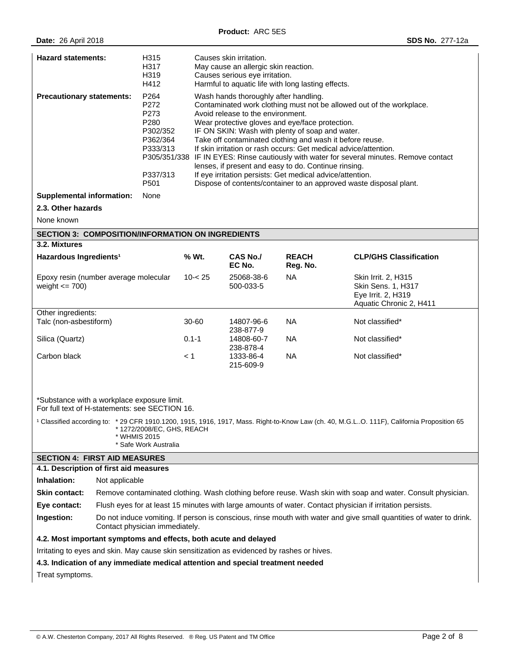| <b>Hazard statements:</b><br>H315<br>H317<br>H319<br>H412                                                                                                                                                                                                                                                                     |                                                                                                                           |                                                                                                      | Causes skin irritation.<br>May cause an allergic skin reaction.<br>Causes serious eye irritation.<br>Harmful to aquatic life with long lasting effects. |                                                                                                                                                                                                                                                                                                                                                                   |                                                                                            |                                                                                                                                                                                                                                                                                               |  |
|-------------------------------------------------------------------------------------------------------------------------------------------------------------------------------------------------------------------------------------------------------------------------------------------------------------------------------|---------------------------------------------------------------------------------------------------------------------------|------------------------------------------------------------------------------------------------------|---------------------------------------------------------------------------------------------------------------------------------------------------------|-------------------------------------------------------------------------------------------------------------------------------------------------------------------------------------------------------------------------------------------------------------------------------------------------------------------------------------------------------------------|--------------------------------------------------------------------------------------------|-----------------------------------------------------------------------------------------------------------------------------------------------------------------------------------------------------------------------------------------------------------------------------------------------|--|
| <b>Precautionary statements:</b>                                                                                                                                                                                                                                                                                              |                                                                                                                           | P264<br>P272<br>P273<br>P280<br>P302/352<br>P362/364<br>P333/313<br>P305/351/338<br>P337/313<br>P501 |                                                                                                                                                         | Wash hands thoroughly after handling.<br>Avoid release to the environment.<br>Wear protective gloves and eye/face protection.<br>IF ON SKIN: Wash with plenty of soap and water.<br>Take off contaminated clothing and wash it before reuse.<br>lenses, if present and easy to do. Continue rinsing.<br>If eye irritation persists: Get medical advice/attention. |                                                                                            | Contaminated work clothing must not be allowed out of the workplace.<br>If skin irritation or rash occurs: Get medical advice/attention.<br>IF IN EYES: Rinse cautiously with water for several minutes. Remove contact<br>Dispose of contents/container to an approved waste disposal plant. |  |
| <b>Supplemental information:</b>                                                                                                                                                                                                                                                                                              |                                                                                                                           | None                                                                                                 |                                                                                                                                                         |                                                                                                                                                                                                                                                                                                                                                                   |                                                                                            |                                                                                                                                                                                                                                                                                               |  |
| 2.3. Other hazards                                                                                                                                                                                                                                                                                                            |                                                                                                                           |                                                                                                      |                                                                                                                                                         |                                                                                                                                                                                                                                                                                                                                                                   |                                                                                            |                                                                                                                                                                                                                                                                                               |  |
| None known                                                                                                                                                                                                                                                                                                                    |                                                                                                                           |                                                                                                      |                                                                                                                                                         |                                                                                                                                                                                                                                                                                                                                                                   |                                                                                            |                                                                                                                                                                                                                                                                                               |  |
| <b>SECTION 3: COMPOSITION/INFORMATION ON INGREDIENTS</b>                                                                                                                                                                                                                                                                      |                                                                                                                           |                                                                                                      |                                                                                                                                                         |                                                                                                                                                                                                                                                                                                                                                                   |                                                                                            |                                                                                                                                                                                                                                                                                               |  |
| 3.2. Mixtures                                                                                                                                                                                                                                                                                                                 |                                                                                                                           |                                                                                                      |                                                                                                                                                         |                                                                                                                                                                                                                                                                                                                                                                   |                                                                                            |                                                                                                                                                                                                                                                                                               |  |
| Hazardous Ingredients <sup>1</sup>                                                                                                                                                                                                                                                                                            |                                                                                                                           |                                                                                                      | % Wt.                                                                                                                                                   | <b>CAS No./</b><br>EC No.                                                                                                                                                                                                                                                                                                                                         | <b>REACH</b><br>Reg. No.                                                                   | <b>CLP/GHS Classification</b>                                                                                                                                                                                                                                                                 |  |
| Epoxy resin (number average molecular<br>weight $\leq$ 700)                                                                                                                                                                                                                                                                   |                                                                                                                           | $10 - 25$                                                                                            | 25068-38-6<br>500-033-5                                                                                                                                 | <b>NA</b>                                                                                                                                                                                                                                                                                                                                                         | Skin Irrit. 2, H315<br>Skin Sens. 1, H317<br>Eye Irrit. 2, H319<br>Aquatic Chronic 2, H411 |                                                                                                                                                                                                                                                                                               |  |
| Other ingredients:<br>Talc (non-asbestiform)                                                                                                                                                                                                                                                                                  |                                                                                                                           |                                                                                                      | 30-60                                                                                                                                                   | 14807-96-6                                                                                                                                                                                                                                                                                                                                                        | NA.                                                                                        | Not classified*                                                                                                                                                                                                                                                                               |  |
|                                                                                                                                                                                                                                                                                                                               |                                                                                                                           |                                                                                                      |                                                                                                                                                         | 238-877-9                                                                                                                                                                                                                                                                                                                                                         |                                                                                            |                                                                                                                                                                                                                                                                                               |  |
| Silica (Quartz)                                                                                                                                                                                                                                                                                                               |                                                                                                                           | $0.1 - 1$                                                                                            | 14808-60-7<br>238-878-4                                                                                                                                 | NA.                                                                                                                                                                                                                                                                                                                                                               | Not classified*                                                                            |                                                                                                                                                                                                                                                                                               |  |
| Carbon black                                                                                                                                                                                                                                                                                                                  |                                                                                                                           | $\leq 1$                                                                                             | 1333-86-4<br>215-609-9                                                                                                                                  | <b>NA</b>                                                                                                                                                                                                                                                                                                                                                         | Not classified*                                                                            |                                                                                                                                                                                                                                                                                               |  |
| *Substance with a workplace exposure limit.<br>For full text of H-statements: see SECTION 16.<br><sup>1</sup> Classified according to: * 29 CFR 1910.1200, 1915, 1916, 1917, Mass. Right-to-Know Law (ch. 40, M.G.LO. 111F), California Proposition 65<br>* 1272/2008/EC, GHS, REACH<br>* WHMIS 2015<br>* Safe Work Australia |                                                                                                                           |                                                                                                      |                                                                                                                                                         |                                                                                                                                                                                                                                                                                                                                                                   |                                                                                            |                                                                                                                                                                                                                                                                                               |  |
| <b>SECTION 4: FIRST AID MEASURES</b>                                                                                                                                                                                                                                                                                          |                                                                                                                           |                                                                                                      |                                                                                                                                                         |                                                                                                                                                                                                                                                                                                                                                                   |                                                                                            |                                                                                                                                                                                                                                                                                               |  |
| Inhalation:                                                                                                                                                                                                                                                                                                                   | 4.1. Description of first aid measures                                                                                    |                                                                                                      |                                                                                                                                                         |                                                                                                                                                                                                                                                                                                                                                                   |                                                                                            |                                                                                                                                                                                                                                                                                               |  |
| Not applicable                                                                                                                                                                                                                                                                                                                |                                                                                                                           |                                                                                                      |                                                                                                                                                         |                                                                                                                                                                                                                                                                                                                                                                   |                                                                                            |                                                                                                                                                                                                                                                                                               |  |
| Skin contact:<br>Remove contaminated clothing. Wash clothing before reuse. Wash skin with soap and water. Consult physician.                                                                                                                                                                                                  |                                                                                                                           |                                                                                                      |                                                                                                                                                         |                                                                                                                                                                                                                                                                                                                                                                   |                                                                                            |                                                                                                                                                                                                                                                                                               |  |
| Ingestion:                                                                                                                                                                                                                                                                                                                    | Eye contact:<br>Flush eyes for at least 15 minutes with large amounts of water. Contact physician if irritation persists. |                                                                                                      |                                                                                                                                                         |                                                                                                                                                                                                                                                                                                                                                                   |                                                                                            |                                                                                                                                                                                                                                                                                               |  |
| Do not induce vomiting. If person is conscious, rinse mouth with water and give small quantities of water to drink.<br>Contact physician immediately.                                                                                                                                                                         |                                                                                                                           |                                                                                                      |                                                                                                                                                         |                                                                                                                                                                                                                                                                                                                                                                   |                                                                                            |                                                                                                                                                                                                                                                                                               |  |
| 4.2. Most important symptoms and effects, both acute and delayed                                                                                                                                                                                                                                                              |                                                                                                                           |                                                                                                      |                                                                                                                                                         |                                                                                                                                                                                                                                                                                                                                                                   |                                                                                            |                                                                                                                                                                                                                                                                                               |  |
| Irritating to eyes and skin. May cause skin sensitization as evidenced by rashes or hives.                                                                                                                                                                                                                                    |                                                                                                                           |                                                                                                      |                                                                                                                                                         |                                                                                                                                                                                                                                                                                                                                                                   |                                                                                            |                                                                                                                                                                                                                                                                                               |  |
| 4.3. Indication of any immediate medical attention and special treatment needed                                                                                                                                                                                                                                               |                                                                                                                           |                                                                                                      |                                                                                                                                                         |                                                                                                                                                                                                                                                                                                                                                                   |                                                                                            |                                                                                                                                                                                                                                                                                               |  |
| Treat symptoms.                                                                                                                                                                                                                                                                                                               |                                                                                                                           |                                                                                                      |                                                                                                                                                         |                                                                                                                                                                                                                                                                                                                                                                   |                                                                                            |                                                                                                                                                                                                                                                                                               |  |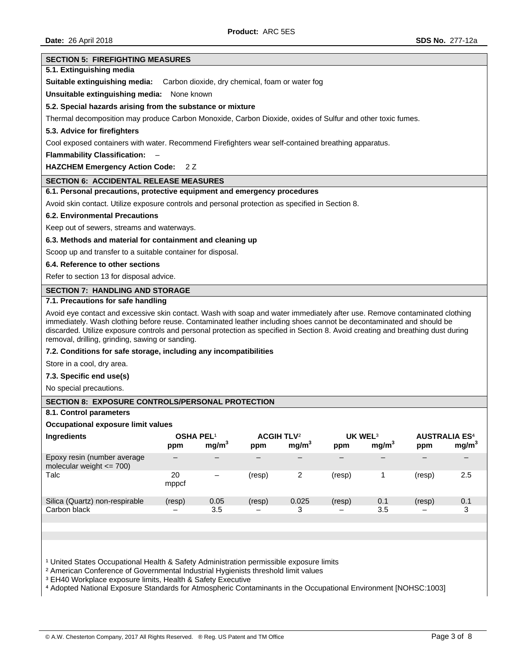#### **SECTION 5: FIREFIGHTING MEASURES**

## **5.1. Extinguishing media**

**Suitable extinguishing media:** Carbon dioxide, dry chemical, foam or water fog

**Unsuitable extinguishing media:** None known

### **5.2. Special hazards arising from the substance or mixture**

Thermal decomposition may produce Carbon Monoxide, Carbon Dioxide, oxides of Sulfur and other toxic fumes.

#### **5.3. Advice for firefighters**

Cool exposed containers with water. Recommend Firefighters wear self-contained breathing apparatus.

**Flammability Classification:** –

**HAZCHEM Emergency Action Code:** 2 Z

### **SECTION 6: ACCIDENTAL RELEASE MEASURES**

## **6.1. Personal precautions, protective equipment and emergency procedures**

Avoid skin contact. Utilize exposure controls and personal protection as specified in Section 8.

### **6.2. Environmental Precautions**

Keep out of sewers, streams and waterways.

## **6.3. Methods and material for containment and cleaning up**

Scoop up and transfer to a suitable container for disposal.

## **6.4. Reference to other sections**

Refer to section 13 for disposal advice.

## **SECTION 7: HANDLING AND STORAGE**

## **7.1. Precautions for safe handling**

Avoid eye contact and excessive skin contact. Wash with soap and water immediately after use. Remove contaminated clothing immediately. Wash clothing before reuse. Contaminated leather including shoes cannot be decontaminated and should be discarded. Utilize exposure controls and personal protection as specified in Section 8. Avoid creating and breathing dust during removal, drilling, grinding, sawing or sanding.

## **7.2. Conditions for safe storage, including any incompatibilities**

Store in a cool, dry area.

### **7.3. Specific end use(s)**

No special precautions.

# **SECTION 8: EXPOSURE CONTROLS/PERSONAL PROTECTION**

**8.1. Control parameters** 

# **Occupational exposure limit values**

| ppm         | mg/m <sup>3</sup> | ppm              | mg/m <sup>3</sup> | ppm                          | mg/m <sup>3</sup> | <b>AUSTRALIA ES<sup>4</sup></b><br>ppm | mg/m <sup>3</sup> |
|-------------|-------------------|------------------|-------------------|------------------------------|-------------------|----------------------------------------|-------------------|
|             |                   |                  |                   |                              |                   |                                        |                   |
| 20<br>mppcf | —                 | (resp)           | 2                 | (resp)                       |                   | (resp)                                 | 2.5               |
| (resp)      | 0.05              | (resp)           | 0.025             | (resp)                       | 0.1               | (resp)                                 | 0.1               |
| -           | 3.5               | -                | 3                 | $\qquad \qquad$              | 3.5               | $\overline{\phantom{0}}$               | 3                 |
|             |                   | <b>OSHA PEL1</b> |                   | <b>ACGIH TLV<sup>2</sup></b> |                   | UK WEL <sup>3</sup>                    |                   |

<sup>1</sup> United States Occupational Health & Safety Administration permissible exposure limits

² American Conference of Governmental Industrial Hygienists threshold limit values

<sup>3</sup> EH40 Workplace exposure limits, Health & Safety Executive

⁴ Adopted National Exposure Standards for Atmospheric Contaminants in the Occupational Environment [NOHSC:1003]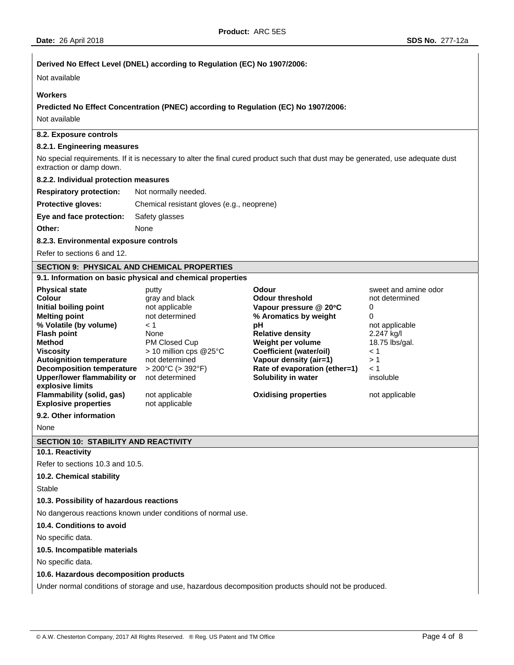# **Derived No Effect Level (DNEL) according to Regulation (EC) No 1907/2006:**

Not available

## **Workers**

**Predicted No Effect Concentration (PNEC) according to Regulation (EC) No 1907/2006:** 

Not available

# **8.2. Exposure controls**

## **8.2.1. Engineering measures**

No special requirements. If it is necessary to alter the final cured product such that dust may be generated, use adequate dust extraction or damp down.

# **8.2.2. Individual protection measures**

| <b>Respiratory protection:</b> | Not normally needed.                       |
|--------------------------------|--------------------------------------------|
| <b>Protective gloves:</b>      | Chemical resistant gloves (e.g., neoprene) |
| Eye and face protection:       | Safety glasses                             |
| Other:                         | None                                       |

### **8.2.3. Environmental exposure controls**

Refer to sections 6 and 12.

## **SECTION 9: PHYSICAL AND CHEMICAL PROPERTIES**

# **9.1. Information on basic physical and chemical properties**

| <b>Physical state</b>           | putty                    | Odour                         | sweet and amine odor |
|---------------------------------|--------------------------|-------------------------------|----------------------|
| Colour                          | gray and black           | <b>Odour threshold</b>        | not determined       |
| Initial boiling point           | not applicable           | Vapour pressure @ 20°C        | 0                    |
| <b>Melting point</b>            | not determined           | % Aromatics by weight         | 0                    |
| % Volatile (by volume)          | < 1                      | рH                            | not applicable       |
| <b>Flash point</b>              | None                     | <b>Relative density</b>       | 2.247 kg/l           |
| Method                          | PM Closed Cup            | Weight per volume             | 18.75 lbs/gal.       |
| <b>Viscosity</b>                | $>$ 10 million cps @25°C | Coefficient (water/oil)       | < 1                  |
| <b>Autoignition temperature</b> | not determined           | Vapour density (air=1)        | >1                   |
| Decomposition temperature       | $>$ 200°C ( $>$ 392°F)   | Rate of evaporation (ether=1) | $\leq 1$             |
| Upper/lower flammability or     | not determined           | Solubility in water           | insoluble            |
| explosive limits                |                          |                               |                      |
| Flammability (solid, gas)       | not applicable           | <b>Oxidising properties</b>   | not applicable       |
| <b>Explosive properties</b>     | not applicable           |                               |                      |

# **9.2. Other information**

None

### **SECTION 10: STABILITY AND REACTIVITY**

# **10.1. Reactivity**

Refer to sections 10.3 and 10.5.

### **10.2. Chemical stability**

Stable

# **10.3. Possibility of hazardous reactions**

No dangerous reactions known under conditions of normal use.

# **10.4. Conditions to avoid**

No specific data.

### **10.5. Incompatible materials**

No specific data.

# **10.6. Hazardous decomposition products**

Under normal conditions of storage and use, hazardous decomposition products should not be produced.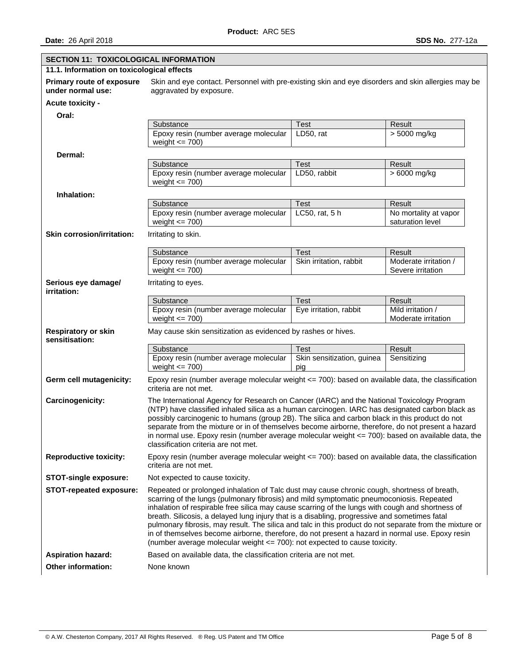| <b>SECTION 11: TOXICOLOGICAL INFORMATION</b>   |                                                                                                                                                                                                                                                                                                                                                                                                                                                                                                                                                                                                                                                                                         |                                   |                                            |  |  |
|------------------------------------------------|-----------------------------------------------------------------------------------------------------------------------------------------------------------------------------------------------------------------------------------------------------------------------------------------------------------------------------------------------------------------------------------------------------------------------------------------------------------------------------------------------------------------------------------------------------------------------------------------------------------------------------------------------------------------------------------------|-----------------------------------|--------------------------------------------|--|--|
|                                                | 11.1. Information on toxicological effects                                                                                                                                                                                                                                                                                                                                                                                                                                                                                                                                                                                                                                              |                                   |                                            |  |  |
| Primary route of exposure<br>under normal use: | Skin and eye contact. Personnel with pre-existing skin and eye disorders and skin allergies may be<br>aggravated by exposure.                                                                                                                                                                                                                                                                                                                                                                                                                                                                                                                                                           |                                   |                                            |  |  |
| <b>Acute toxicity -</b>                        |                                                                                                                                                                                                                                                                                                                                                                                                                                                                                                                                                                                                                                                                                         |                                   |                                            |  |  |
| Oral:                                          |                                                                                                                                                                                                                                                                                                                                                                                                                                                                                                                                                                                                                                                                                         |                                   |                                            |  |  |
|                                                | Substance                                                                                                                                                                                                                                                                                                                                                                                                                                                                                                                                                                                                                                                                               | <b>Test</b>                       | Result                                     |  |  |
|                                                | Epoxy resin (number average molecular<br>weight $\leq$ 700)                                                                                                                                                                                                                                                                                                                                                                                                                                                                                                                                                                                                                             | LD50, rat                         | > 5000 mg/kg                               |  |  |
| Dermal:                                        |                                                                                                                                                                                                                                                                                                                                                                                                                                                                                                                                                                                                                                                                                         |                                   |                                            |  |  |
|                                                | Substance                                                                                                                                                                                                                                                                                                                                                                                                                                                                                                                                                                                                                                                                               | <b>Test</b>                       | Result                                     |  |  |
|                                                | Epoxy resin (number average molecular<br>weight $\leq$ 700)                                                                                                                                                                                                                                                                                                                                                                                                                                                                                                                                                                                                                             | LD50, rabbit                      | $>6000$ mg/kg                              |  |  |
| Inhalation:                                    |                                                                                                                                                                                                                                                                                                                                                                                                                                                                                                                                                                                                                                                                                         |                                   |                                            |  |  |
|                                                | Substance                                                                                                                                                                                                                                                                                                                                                                                                                                                                                                                                                                                                                                                                               | <b>Test</b>                       | Result                                     |  |  |
|                                                | Epoxy resin (number average molecular<br>weight $\leq$ 700)                                                                                                                                                                                                                                                                                                                                                                                                                                                                                                                                                                                                                             | LC50, rat, 5 h                    | No mortality at vapor<br>saturation level  |  |  |
| <b>Skin corrosion/irritation:</b>              | Irritating to skin.                                                                                                                                                                                                                                                                                                                                                                                                                                                                                                                                                                                                                                                                     |                                   |                                            |  |  |
|                                                | Substance                                                                                                                                                                                                                                                                                                                                                                                                                                                                                                                                                                                                                                                                               | Test                              | Result                                     |  |  |
|                                                | Epoxy resin (number average molecular<br>weight $\leq$ 700)                                                                                                                                                                                                                                                                                                                                                                                                                                                                                                                                                                                                                             | Skin irritation, rabbit           | Moderate irritation /<br>Severe irritation |  |  |
| Serious eye damage/<br>irritation:             | Irritating to eyes.                                                                                                                                                                                                                                                                                                                                                                                                                                                                                                                                                                                                                                                                     |                                   |                                            |  |  |
|                                                | Substance                                                                                                                                                                                                                                                                                                                                                                                                                                                                                                                                                                                                                                                                               | <b>Test</b>                       | Result                                     |  |  |
|                                                | Epoxy resin (number average molecular<br>weight $\leq$ 700)                                                                                                                                                                                                                                                                                                                                                                                                                                                                                                                                                                                                                             | Eye irritation, rabbit            | Mild irritation /<br>Moderate irritation   |  |  |
| <b>Respiratory or skin</b><br>sensitisation:   | May cause skin sensitization as evidenced by rashes or hives.                                                                                                                                                                                                                                                                                                                                                                                                                                                                                                                                                                                                                           |                                   |                                            |  |  |
|                                                | Substance                                                                                                                                                                                                                                                                                                                                                                                                                                                                                                                                                                                                                                                                               | <b>Test</b>                       | Result                                     |  |  |
|                                                | Epoxy resin (number average molecular<br>weight $\leq$ 700)                                                                                                                                                                                                                                                                                                                                                                                                                                                                                                                                                                                                                             | Skin sensitization, guinea<br>pig | Sensitizing                                |  |  |
| Germ cell mutagenicity:                        | Epoxy resin (number average molecular weight <= 700): based on available data, the classification<br>criteria are not met.                                                                                                                                                                                                                                                                                                                                                                                                                                                                                                                                                              |                                   |                                            |  |  |
| Carcinogenicity:                               | The International Agency for Research on Cancer (IARC) and the National Toxicology Program<br>(NTP) have classified inhaled silica as a human carcinogen. IARC has designated carbon black as<br>possibly carcinogenic to humans (group 2B). The silica and carbon black in this product do not<br>separate from the mixture or in of themselves become airborne, therefore, do not present a hazard<br>in normal use. Epoxy resin (number average molecular weight $\leq$ 700): based on available data, the<br>classification criteria are not met.                                                                                                                                   |                                   |                                            |  |  |
| <b>Reproductive toxicity:</b>                  | Epoxy resin (number average molecular weight $\leq$ 700): based on available data, the classification<br>criteria are not met.                                                                                                                                                                                                                                                                                                                                                                                                                                                                                                                                                          |                                   |                                            |  |  |
| <b>STOT-single exposure:</b>                   | Not expected to cause toxicity.                                                                                                                                                                                                                                                                                                                                                                                                                                                                                                                                                                                                                                                         |                                   |                                            |  |  |
| <b>STOT-repeated exposure:</b>                 | Repeated or prolonged inhalation of Talc dust may cause chronic cough, shortness of breath,<br>scarring of the lungs (pulmonary fibrosis) and mild symptomatic pneumoconiosis. Repeated<br>inhalation of respirable free silica may cause scarring of the lungs with cough and shortness of<br>breath. Silicosis, a delayed lung injury that is a disabling, progressive and sometimes fatal<br>pulmonary fibrosis, may result. The silica and talc in this product do not separate from the mixture or<br>in of themselves become airborne, therefore, do not present a hazard in normal use. Epoxy resin<br>(number average molecular weight <= 700): not expected to cause toxicity. |                                   |                                            |  |  |
| <b>Aspiration hazard:</b>                      | Based on available data, the classification criteria are not met.                                                                                                                                                                                                                                                                                                                                                                                                                                                                                                                                                                                                                       |                                   |                                            |  |  |
| Other information:                             | None known                                                                                                                                                                                                                                                                                                                                                                                                                                                                                                                                                                                                                                                                              |                                   |                                            |  |  |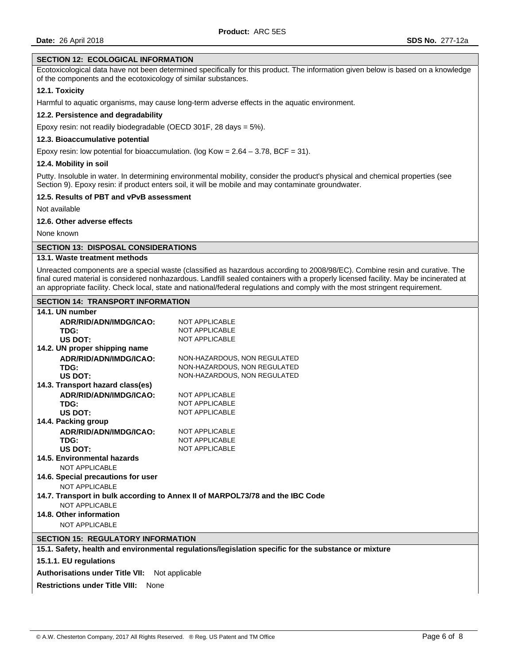# **SECTION 12: ECOLOGICAL INFORMATION**

Ecotoxicological data have not been determined specifically for this product. The information given below is based on a knowledge of the components and the ecotoxicology of similar substances.

# **12.1. Toxicity**

Harmful to aquatic organisms, may cause long-term adverse effects in the aquatic environment.

## **12.2. Persistence and degradability**

Epoxy resin: not readily biodegradable (OECD 301F, 28 days = 5%).

## **12.3. Bioaccumulative potential**

Epoxy resin: low potential for bioaccumulation. (log Kow =  $2.64 - 3.78$ , BCF = 31).

### **12.4. Mobility in soil**

Putty. Insoluble in water. In determining environmental mobility, consider the product's physical and chemical properties (see Section 9). Epoxy resin: if product enters soil, it will be mobile and may contaminate groundwater.

## **12.5. Results of PBT and vPvB assessment**

Not available

# **12.6. Other adverse effects**

None known

## **SECTION 13: DISPOSAL CONSIDERATIONS**

# **13.1. Waste treatment methods**

Unreacted components are a special waste (classified as hazardous according to 2008/98/EC). Combine resin and curative. The final cured material is considered nonhazardous. Landfill sealed containers with a properly licensed facility. May be incinerated at an appropriate facility. Check local, state and national/federal regulations and comply with the most stringent requirement.

## **SECTION 14: TRANSPORT INFORMATION**

| 14.1. UN number                                                                                      |                              |  |  |  |
|------------------------------------------------------------------------------------------------------|------------------------------|--|--|--|
| ADR/RID/ADN/IMDG/ICAO:                                                                               | <b>NOT APPLICABLE</b>        |  |  |  |
| TDG:                                                                                                 | <b>NOT APPLICABLE</b>        |  |  |  |
| US DOT:                                                                                              | <b>NOT APPLICABLE</b>        |  |  |  |
| 14.2. UN proper shipping name                                                                        |                              |  |  |  |
| ADR/RID/ADN/IMDG/ICAO:                                                                               | NON-HAZARDOUS, NON REGULATED |  |  |  |
| TDG:                                                                                                 | NON-HAZARDOUS, NON REGULATED |  |  |  |
| US DOT:                                                                                              | NON-HAZARDOUS, NON REGULATED |  |  |  |
| 14.3. Transport hazard class(es)                                                                     |                              |  |  |  |
| ADR/RID/ADN/IMDG/ICAO:                                                                               | <b>NOT APPLICABLE</b>        |  |  |  |
| TDG:                                                                                                 | <b>NOT APPLICABLE</b>        |  |  |  |
| US DOT:                                                                                              | <b>NOT APPLICABLE</b>        |  |  |  |
| 14.4. Packing group                                                                                  |                              |  |  |  |
| ADR/RID/ADN/IMDG/ICAO:                                                                               | <b>NOT APPLICABLE</b>        |  |  |  |
| TDG:                                                                                                 | <b>NOT APPLICABLE</b>        |  |  |  |
| US DOT:                                                                                              | <b>NOT APPLICABLE</b>        |  |  |  |
| 14.5. Environmental hazards                                                                          |                              |  |  |  |
| <b>NOT APPLICABLE</b>                                                                                |                              |  |  |  |
| 14.6. Special precautions for user                                                                   |                              |  |  |  |
| NOT APPLICABLE                                                                                       |                              |  |  |  |
| 14.7. Transport in bulk according to Annex II of MARPOL73/78 and the IBC Code                        |                              |  |  |  |
| <b>NOT APPLICABLE</b>                                                                                |                              |  |  |  |
| 14.8. Other information                                                                              |                              |  |  |  |
| <b>NOT APPLICABLE</b>                                                                                |                              |  |  |  |
|                                                                                                      |                              |  |  |  |
| <b>SECTION 15: REGULATORY INFORMATION</b>                                                            |                              |  |  |  |
| 15.1. Safety, health and environmental regulations/legislation specific for the substance or mixture |                              |  |  |  |
| 15.1.1. EU regulations                                                                               |                              |  |  |  |
| <b>Authorisations under Title VII:</b><br>Not applicable                                             |                              |  |  |  |
| <b>Restrictions under Title VIII: None</b>                                                           |                              |  |  |  |
|                                                                                                      |                              |  |  |  |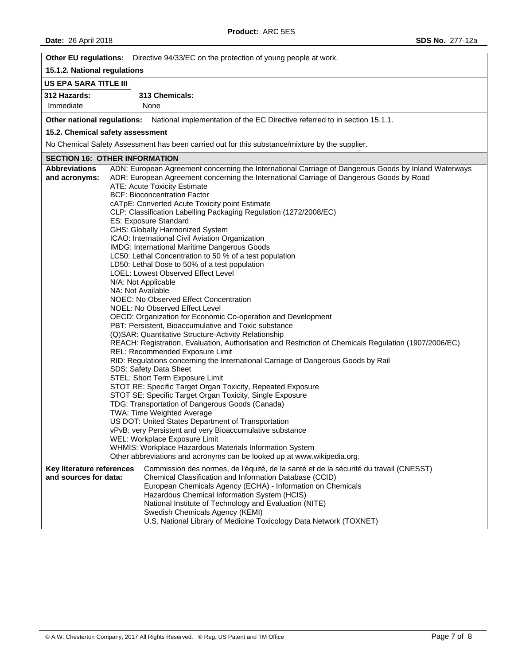**Other EU regulations:** Directive 94/33/EC on the protection of young people at work.

# **15.1.2. National regulations**

# **US EPA SARA TITLE III**

**312 Hazards: 313 Chemicals:**  Immediate None

**Other national regulations:** National implementation of the EC Directive referred to in section 15.1.1.

# **15.2. Chemical safety assessment**

No Chemical Safety Assessment has been carried out for this substance/mixture by the supplier.

# **SECTION 16: OTHER INFORMATION**

| <b>Abbreviations</b><br>ADN: European Agreement concerning the International Carriage of Dangerous Goods by Inland Waterways |  |
|------------------------------------------------------------------------------------------------------------------------------|--|
| ADR: European Agreement concerning the International Carriage of Dangerous Goods by Road<br>and acronyms:                    |  |
| <b>ATE: Acute Toxicity Estimate</b>                                                                                          |  |
| <b>BCF: Bioconcentration Factor</b>                                                                                          |  |
| cATpE: Converted Acute Toxicity point Estimate                                                                               |  |
| CLP: Classification Labelling Packaging Regulation (1272/2008/EC)                                                            |  |
| ES: Exposure Standard                                                                                                        |  |
| GHS: Globally Harmonized System                                                                                              |  |
| ICAO: International Civil Aviation Organization                                                                              |  |
| IMDG: International Maritime Dangerous Goods                                                                                 |  |
| LC50: Lethal Concentration to 50 % of a test population                                                                      |  |
| LD50: Lethal Dose to 50% of a test population                                                                                |  |
| LOEL: Lowest Observed Effect Level                                                                                           |  |
| N/A: Not Applicable                                                                                                          |  |
| NA: Not Available                                                                                                            |  |
| NOEC: No Observed Effect Concentration                                                                                       |  |
| NOEL: No Observed Effect Level                                                                                               |  |
| OECD: Organization for Economic Co-operation and Development                                                                 |  |
| PBT: Persistent, Bioaccumulative and Toxic substance                                                                         |  |
| (Q) SAR: Quantitative Structure-Activity Relationship                                                                        |  |
| REACH: Registration, Evaluation, Authorisation and Restriction of Chemicals Regulation (1907/2006/EC)                        |  |
| REL: Recommended Exposure Limit                                                                                              |  |
| RID: Regulations concerning the International Carriage of Dangerous Goods by Rail                                            |  |
| SDS: Safety Data Sheet                                                                                                       |  |
| STEL: Short Term Exposure Limit                                                                                              |  |
| STOT RE: Specific Target Organ Toxicity, Repeated Exposure                                                                   |  |
| STOT SE: Specific Target Organ Toxicity, Single Exposure                                                                     |  |
| TDG: Transportation of Dangerous Goods (Canada)                                                                              |  |
| TWA: Time Weighted Average                                                                                                   |  |
| US DOT: United States Department of Transportation                                                                           |  |
| vPvB: very Persistent and very Bioaccumulative substance                                                                     |  |
| WEL: Workplace Exposure Limit                                                                                                |  |
| WHMIS: Workplace Hazardous Materials Information System                                                                      |  |
| Other abbreviations and acronyms can be looked up at www.wikipedia.org.                                                      |  |
| Commission des normes, de l'équité, de la santé et de la sécurité du travail (CNESST)<br>Key literature references           |  |
| and sources for data:<br>Chemical Classification and Information Database (CCID)                                             |  |
| European Chemicals Agency (ECHA) - Information on Chemicals                                                                  |  |
| Hazardous Chemical Information System (HCIS)                                                                                 |  |
| National Institute of Technology and Evaluation (NITE)                                                                       |  |
| Swedish Chemicals Agency (KEMI)                                                                                              |  |
| U.S. National Library of Medicine Toxicology Data Network (TOXNET)                                                           |  |